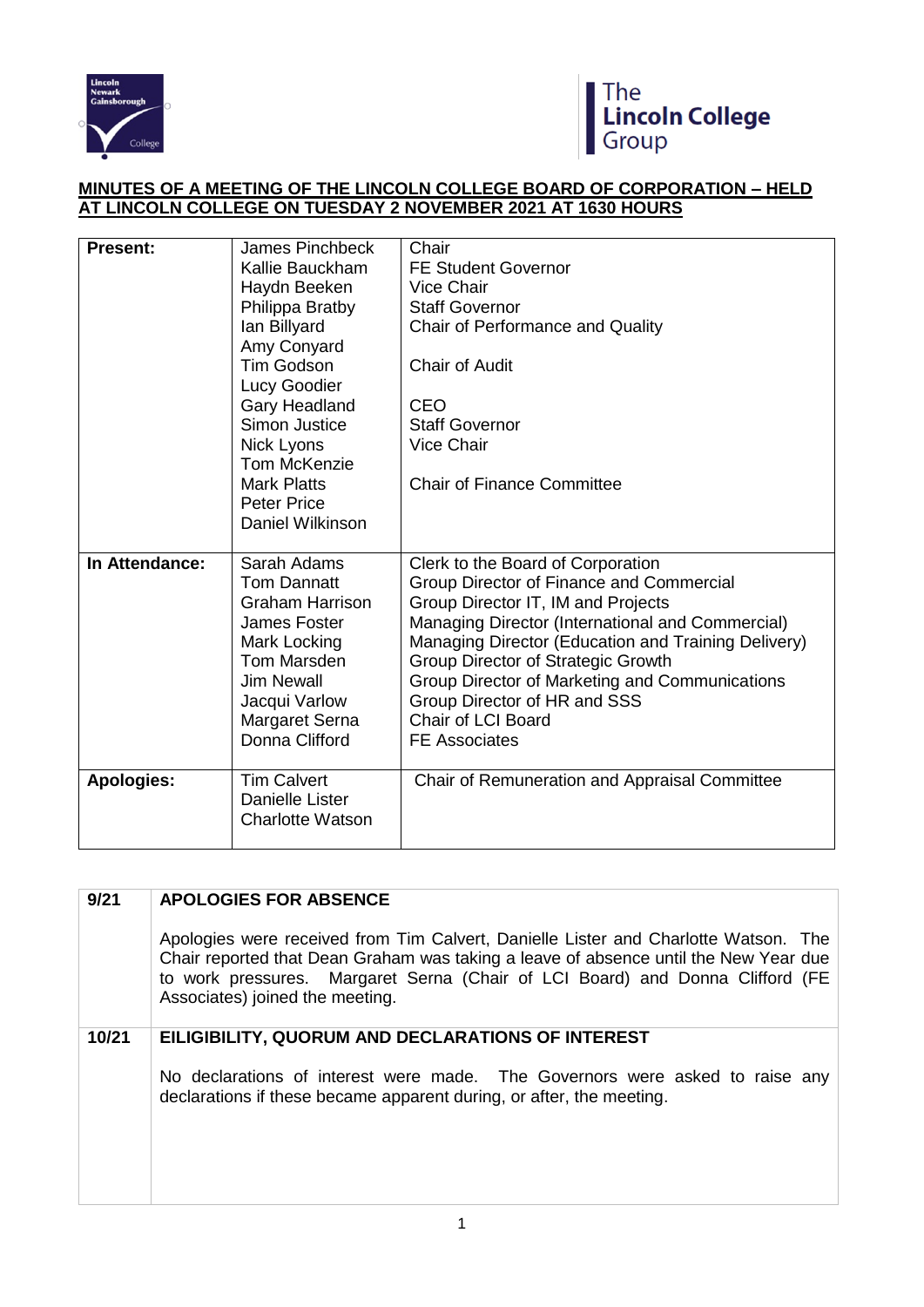



## **MINUTES OF A MEETING OF THE LINCOLN COLLEGE BOARD OF CORPORATION – HELD AT LINCOLN COLLEGE ON TUESDAY 2 NOVEMBER 2021 AT 1630 HOURS**

| <b>Present:</b>   | <b>James Pinchbeck</b><br>Kallie Bauckham<br>Haydn Beeken<br>Philippa Bratby<br>lan Billyard<br>Amy Conyard<br><b>Tim Godson</b><br>Lucy Goodier<br>Gary Headland<br>Simon Justice<br>Nick Lyons | Chair<br><b>FE Student Governor</b><br><b>Vice Chair</b><br><b>Staff Governor</b><br>Chair of Performance and Quality<br><b>Chair of Audit</b><br>CEO<br><b>Staff Governor</b><br><b>Vice Chair</b>                                                                                                                                                                                                         |
|-------------------|--------------------------------------------------------------------------------------------------------------------------------------------------------------------------------------------------|-------------------------------------------------------------------------------------------------------------------------------------------------------------------------------------------------------------------------------------------------------------------------------------------------------------------------------------------------------------------------------------------------------------|
|                   | Tom McKenzie<br><b>Mark Platts</b><br><b>Peter Price</b><br>Daniel Wilkinson                                                                                                                     | <b>Chair of Finance Committee</b>                                                                                                                                                                                                                                                                                                                                                                           |
| In Attendance:    | Sarah Adams<br><b>Tom Dannatt</b><br><b>Graham Harrison</b><br>James Foster<br>Mark Locking<br>Tom Marsden<br><b>Jim Newall</b><br>Jacqui Varlow<br>Margaret Serna<br>Donna Clifford             | Clerk to the Board of Corporation<br>Group Director of Finance and Commercial<br>Group Director IT, IM and Projects<br>Managing Director (International and Commercial)<br>Managing Director (Education and Training Delivery)<br>Group Director of Strategic Growth<br>Group Director of Marketing and Communications<br>Group Director of HR and SSS<br><b>Chair of LCI Board</b><br><b>FE Associates</b> |
| <b>Apologies:</b> | <b>Tim Calvert</b><br><b>Danielle Lister</b><br><b>Charlotte Watson</b>                                                                                                                          | Chair of Remuneration and Appraisal Committee                                                                                                                                                                                                                                                                                                                                                               |

| 9/21  | <b>APOLOGIES FOR ABSENCE</b>                                                                                                                                                                                                                                                                    |
|-------|-------------------------------------------------------------------------------------------------------------------------------------------------------------------------------------------------------------------------------------------------------------------------------------------------|
|       | Apologies were received from Tim Calvert, Danielle Lister and Charlotte Watson. The<br>Chair reported that Dean Graham was taking a leave of absence until the New Year due<br>to work pressures. Margaret Serna (Chair of LCI Board) and Donna Clifford (FE<br>Associates) joined the meeting. |
| 10/21 | EILIGIBILITY, QUORUM AND DECLARATIONS OF INTEREST                                                                                                                                                                                                                                               |
|       | No declarations of interest were made. The Governors were asked to raise any<br>declarations if these became apparent during, or after, the meeting.                                                                                                                                            |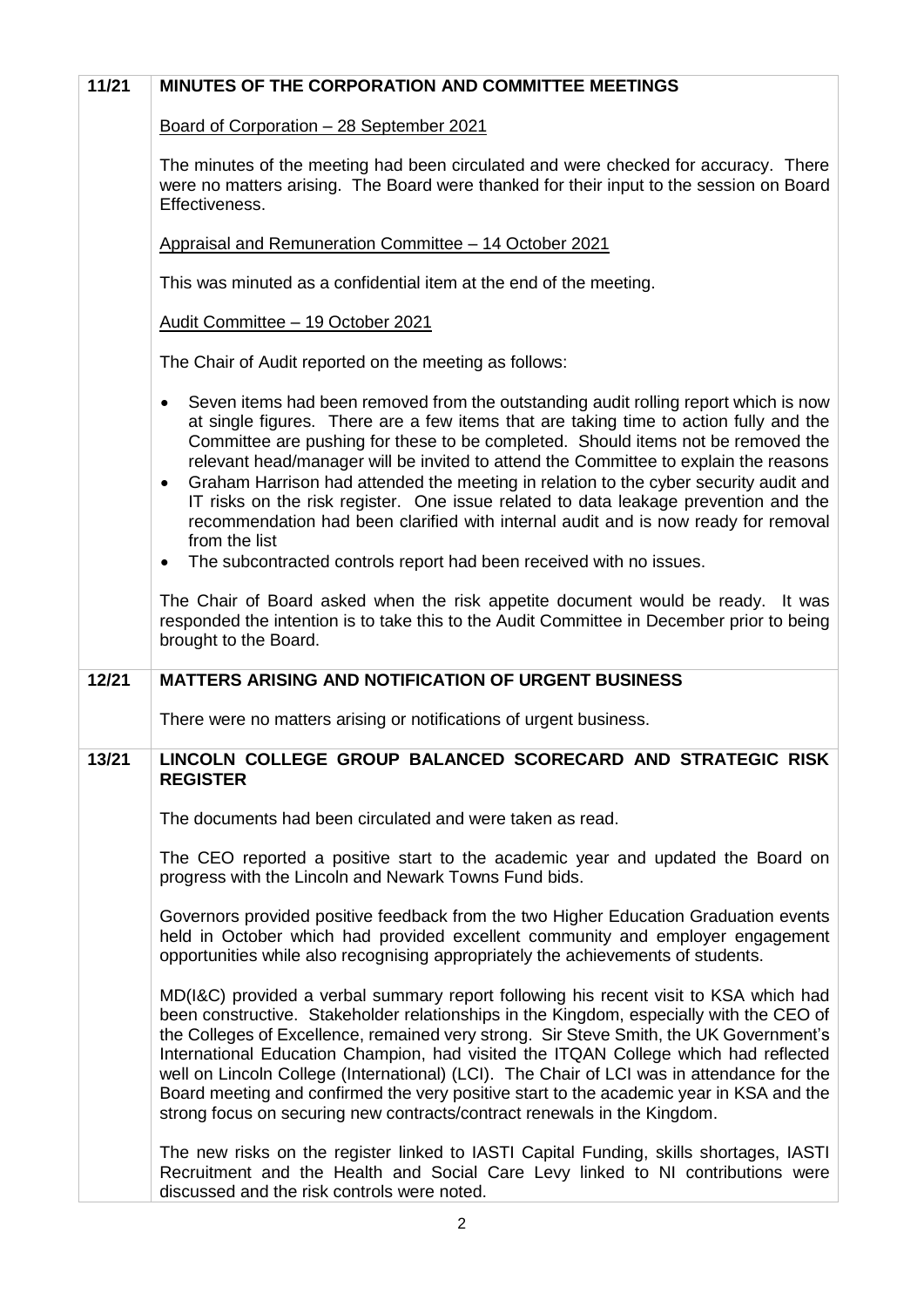| 11/21 | <b>MINUTES OF THE CORPORATION AND COMMITTEE MEETINGS</b>                                                                                                                                                                                                                                                                                                                                                                                                                                                                                                                                                                                                                                                                                                     |
|-------|--------------------------------------------------------------------------------------------------------------------------------------------------------------------------------------------------------------------------------------------------------------------------------------------------------------------------------------------------------------------------------------------------------------------------------------------------------------------------------------------------------------------------------------------------------------------------------------------------------------------------------------------------------------------------------------------------------------------------------------------------------------|
|       | Board of Corporation - 28 September 2021                                                                                                                                                                                                                                                                                                                                                                                                                                                                                                                                                                                                                                                                                                                     |
|       | The minutes of the meeting had been circulated and were checked for accuracy. There<br>were no matters arising. The Board were thanked for their input to the session on Board<br>Effectiveness.                                                                                                                                                                                                                                                                                                                                                                                                                                                                                                                                                             |
|       | Appraisal and Remuneration Committee - 14 October 2021                                                                                                                                                                                                                                                                                                                                                                                                                                                                                                                                                                                                                                                                                                       |
|       | This was minuted as a confidential item at the end of the meeting.                                                                                                                                                                                                                                                                                                                                                                                                                                                                                                                                                                                                                                                                                           |
|       | Audit Committee - 19 October 2021                                                                                                                                                                                                                                                                                                                                                                                                                                                                                                                                                                                                                                                                                                                            |
|       | The Chair of Audit reported on the meeting as follows:                                                                                                                                                                                                                                                                                                                                                                                                                                                                                                                                                                                                                                                                                                       |
|       | Seven items had been removed from the outstanding audit rolling report which is now<br>$\bullet$<br>at single figures. There are a few items that are taking time to action fully and the<br>Committee are pushing for these to be completed. Should items not be removed the<br>relevant head/manager will be invited to attend the Committee to explain the reasons<br>Graham Harrison had attended the meeting in relation to the cyber security audit and<br>$\bullet$<br>IT risks on the risk register. One issue related to data leakage prevention and the<br>recommendation had been clarified with internal audit and is now ready for removal<br>from the list<br>The subcontracted controls report had been received with no issues.<br>$\bullet$ |
|       | The Chair of Board asked when the risk appetite document would be ready. It was<br>responded the intention is to take this to the Audit Committee in December prior to being<br>brought to the Board.                                                                                                                                                                                                                                                                                                                                                                                                                                                                                                                                                        |
| 12/21 | <b>MATTERS ARISING AND NOTIFICATION OF URGENT BUSINESS</b>                                                                                                                                                                                                                                                                                                                                                                                                                                                                                                                                                                                                                                                                                                   |
|       | There were no matters arising or notifications of urgent business.                                                                                                                                                                                                                                                                                                                                                                                                                                                                                                                                                                                                                                                                                           |
| 13/21 | LINCOLN COLLEGE GROUP BALANCED SCORECARD AND STRATEGIC RISK<br><b>REGISTER</b>                                                                                                                                                                                                                                                                                                                                                                                                                                                                                                                                                                                                                                                                               |
|       | The documents had been circulated and were taken as read.                                                                                                                                                                                                                                                                                                                                                                                                                                                                                                                                                                                                                                                                                                    |
|       | The CEO reported a positive start to the academic year and updated the Board on<br>progress with the Lincoln and Newark Towns Fund bids.                                                                                                                                                                                                                                                                                                                                                                                                                                                                                                                                                                                                                     |
|       | Governors provided positive feedback from the two Higher Education Graduation events<br>held in October which had provided excellent community and employer engagement<br>opportunities while also recognising appropriately the achievements of students.                                                                                                                                                                                                                                                                                                                                                                                                                                                                                                   |
|       | MD(I&C) provided a verbal summary report following his recent visit to KSA which had<br>been constructive. Stakeholder relationships in the Kingdom, especially with the CEO of<br>the Colleges of Excellence, remained very strong. Sir Steve Smith, the UK Government's<br>International Education Champion, had visited the ITQAN College which had reflected<br>well on Lincoln College (International) (LCI). The Chair of LCI was in attendance for the<br>Board meeting and confirmed the very positive start to the academic year in KSA and the<br>strong focus on securing new contracts/contract renewals in the Kingdom.                                                                                                                         |
|       | The new risks on the register linked to IASTI Capital Funding, skills shortages, IASTI<br>Recruitment and the Health and Social Care Levy linked to NI contributions were<br>discussed and the risk controls were noted.                                                                                                                                                                                                                                                                                                                                                                                                                                                                                                                                     |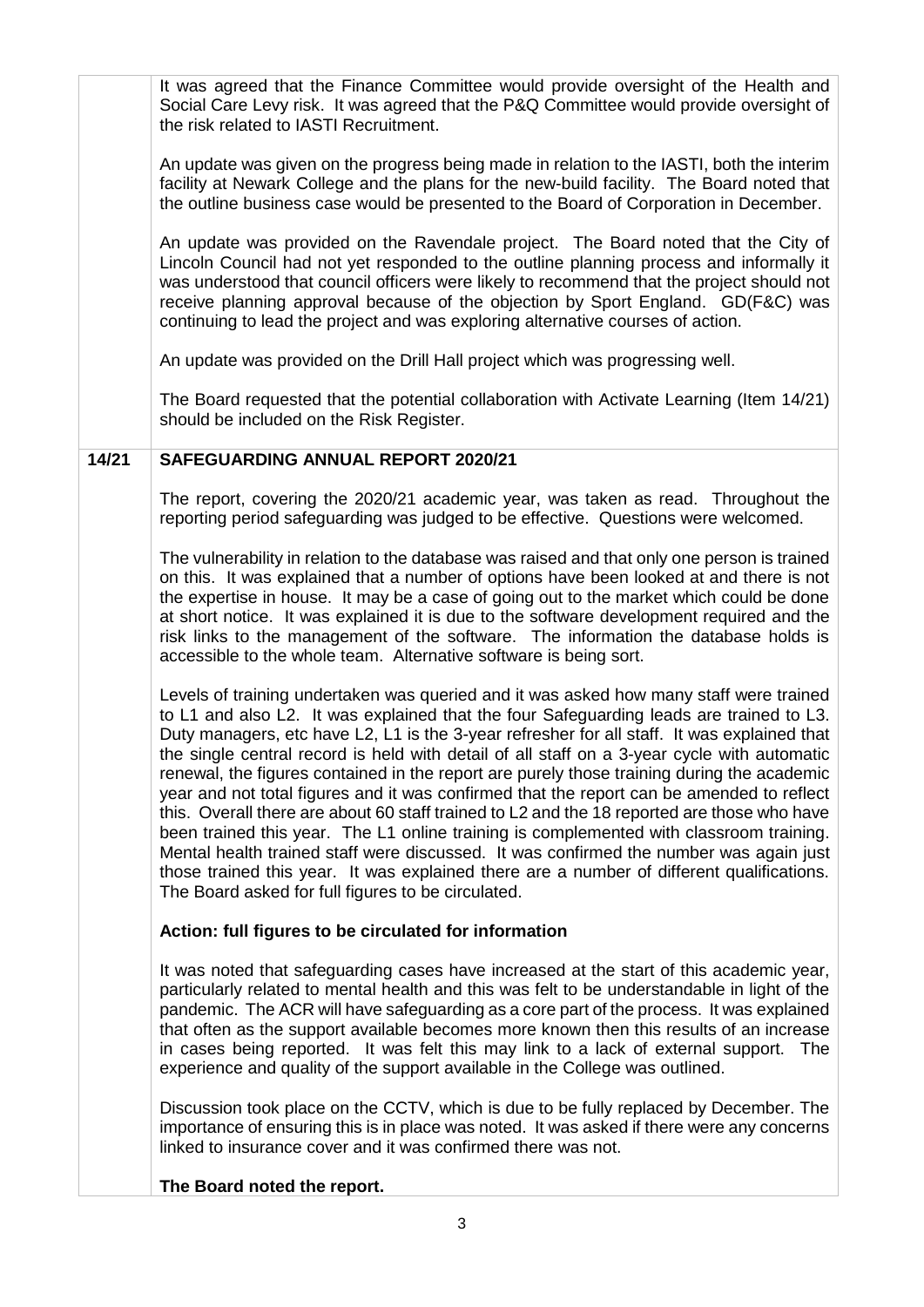It was agreed that the Finance Committee would provide oversight of the Health and Social Care Levy risk. It was agreed that the P&Q Committee would provide oversight of the risk related to IASTI Recruitment. An update was given on the progress being made in relation to the IASTI, both the interim facility at Newark College and the plans for the new-build facility. The Board noted that the outline business case would be presented to the Board of Corporation in December. An update was provided on the Ravendale project. The Board noted that the City of Lincoln Council had not yet responded to the outline planning process and informally it was understood that council officers were likely to recommend that the project should not receive planning approval because of the objection by Sport England. GD(F&C) was continuing to lead the project and was exploring alternative courses of action. An update was provided on the Drill Hall project which was progressing well. The Board requested that the potential collaboration with Activate Learning (Item 14/21) should be included on the Risk Register. **14/21 SAFEGUARDING ANNUAL REPORT 2020/21**  The report, covering the 2020/21 academic year, was taken as read. Throughout the reporting period safeguarding was judged to be effective. Questions were welcomed. The vulnerability in relation to the database was raised and that only one person is trained on this. It was explained that a number of options have been looked at and there is not the expertise in house. It may be a case of going out to the market which could be done at short notice. It was explained it is due to the software development required and the risk links to the management of the software. The information the database holds is accessible to the whole team. Alternative software is being sort. Levels of training undertaken was queried and it was asked how many staff were trained to L1 and also L2. It was explained that the four Safeguarding leads are trained to L3. Duty managers, etc have L2, L1 is the 3-year refresher for all staff. It was explained that the single central record is held with detail of all staff on a 3-year cycle with automatic renewal, the figures contained in the report are purely those training during the academic year and not total figures and it was confirmed that the report can be amended to reflect this. Overall there are about 60 staff trained to L2 and the 18 reported are those who have been trained this year. The L1 online training is complemented with classroom training. Mental health trained staff were discussed. It was confirmed the number was again just those trained this year. It was explained there are a number of different qualifications. The Board asked for full figures to be circulated. **Action: full figures to be circulated for information**  It was noted that safeguarding cases have increased at the start of this academic year, particularly related to mental health and this was felt to be understandable in light of the pandemic. The ACR will have safeguarding as a core part of the process. It was explained that often as the support available becomes more known then this results of an increase in cases being reported. It was felt this may link to a lack of external support. The experience and quality of the support available in the College was outlined. Discussion took place on the CCTV, which is due to be fully replaced by December. The importance of ensuring this is in place was noted. It was asked if there were any concerns linked to insurance cover and it was confirmed there was not. **The Board noted the report.**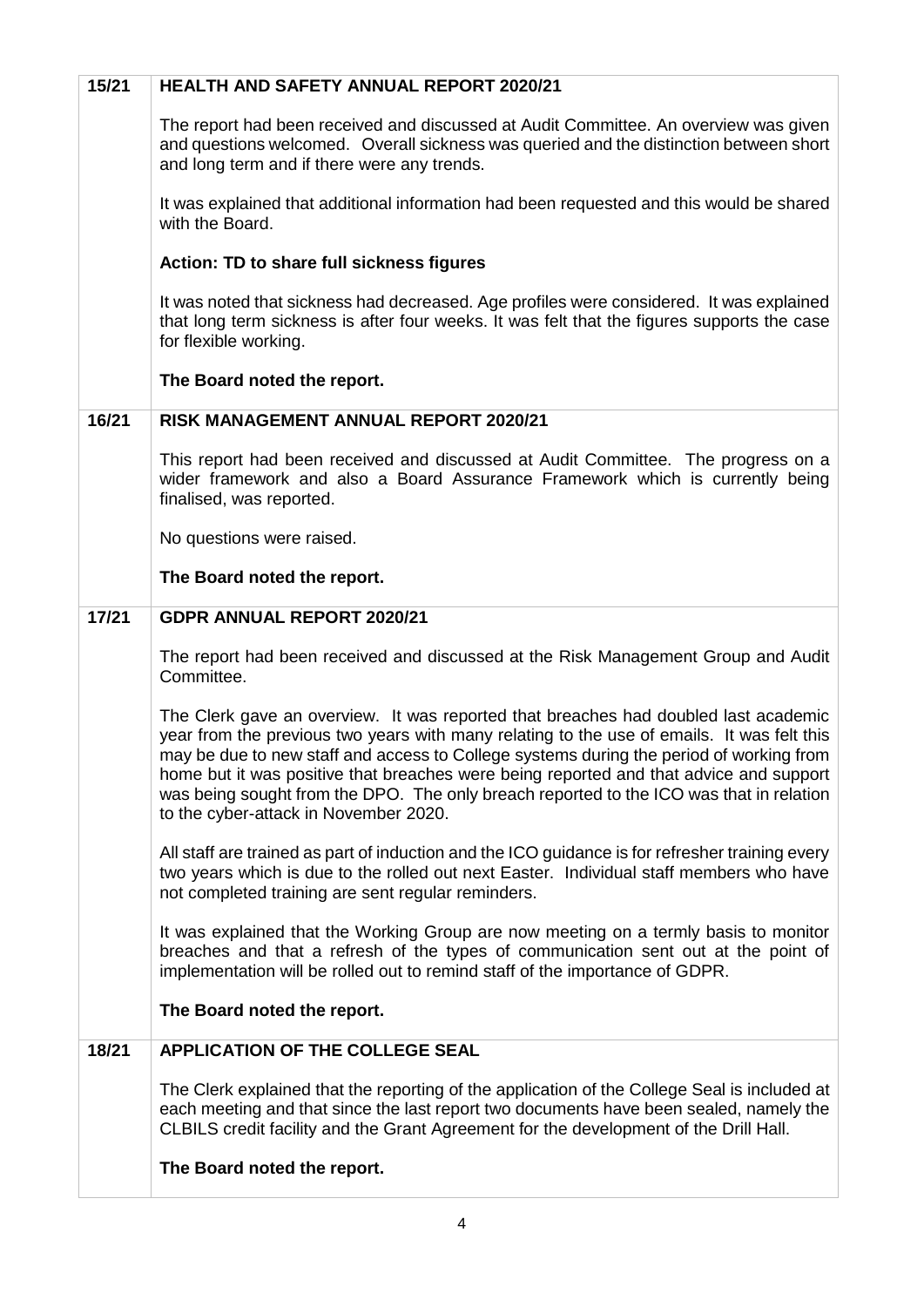| 15/21 | <b>HEALTH AND SAFETY ANNUAL REPORT 2020/21</b>                                                                                                                                                                                                                                                                                                                                                                                                                                                             |
|-------|------------------------------------------------------------------------------------------------------------------------------------------------------------------------------------------------------------------------------------------------------------------------------------------------------------------------------------------------------------------------------------------------------------------------------------------------------------------------------------------------------------|
|       | The report had been received and discussed at Audit Committee. An overview was given<br>and questions welcomed. Overall sickness was queried and the distinction between short<br>and long term and if there were any trends.                                                                                                                                                                                                                                                                              |
|       | It was explained that additional information had been requested and this would be shared<br>with the Board.                                                                                                                                                                                                                                                                                                                                                                                                |
|       | Action: TD to share full sickness figures                                                                                                                                                                                                                                                                                                                                                                                                                                                                  |
|       | It was noted that sickness had decreased. Age profiles were considered. It was explained<br>that long term sickness is after four weeks. It was felt that the figures supports the case<br>for flexible working.                                                                                                                                                                                                                                                                                           |
|       | The Board noted the report.                                                                                                                                                                                                                                                                                                                                                                                                                                                                                |
| 16/21 | <b>RISK MANAGEMENT ANNUAL REPORT 2020/21</b>                                                                                                                                                                                                                                                                                                                                                                                                                                                               |
|       | This report had been received and discussed at Audit Committee. The progress on a<br>wider framework and also a Board Assurance Framework which is currently being<br>finalised, was reported.                                                                                                                                                                                                                                                                                                             |
|       | No questions were raised.                                                                                                                                                                                                                                                                                                                                                                                                                                                                                  |
|       | The Board noted the report.                                                                                                                                                                                                                                                                                                                                                                                                                                                                                |
| 17/21 | <b>GDPR ANNUAL REPORT 2020/21</b>                                                                                                                                                                                                                                                                                                                                                                                                                                                                          |
|       | The report had been received and discussed at the Risk Management Group and Audit<br>Committee.                                                                                                                                                                                                                                                                                                                                                                                                            |
|       | The Clerk gave an overview. It was reported that breaches had doubled last academic<br>year from the previous two years with many relating to the use of emails. It was felt this<br>may be due to new staff and access to College systems during the period of working from<br>home but it was positive that breaches were being reported and that advice and support<br>was being sought from the DPO. The only breach reported to the ICO was that in relation<br>to the cyber-attack in November 2020. |
|       | All staff are trained as part of induction and the ICO guidance is for refresher training every<br>two years which is due to the rolled out next Easter. Individual staff members who have<br>not completed training are sent regular reminders.                                                                                                                                                                                                                                                           |
|       | It was explained that the Working Group are now meeting on a termly basis to monitor<br>breaches and that a refresh of the types of communication sent out at the point of<br>implementation will be rolled out to remind staff of the importance of GDPR.                                                                                                                                                                                                                                                 |
|       | The Board noted the report.                                                                                                                                                                                                                                                                                                                                                                                                                                                                                |
| 18/21 | <b>APPLICATION OF THE COLLEGE SEAL</b>                                                                                                                                                                                                                                                                                                                                                                                                                                                                     |
|       | The Clerk explained that the reporting of the application of the College Seal is included at<br>each meeting and that since the last report two documents have been sealed, namely the<br>CLBILS credit facility and the Grant Agreement for the development of the Drill Hall.<br>The Board noted the report.                                                                                                                                                                                             |
|       |                                                                                                                                                                                                                                                                                                                                                                                                                                                                                                            |